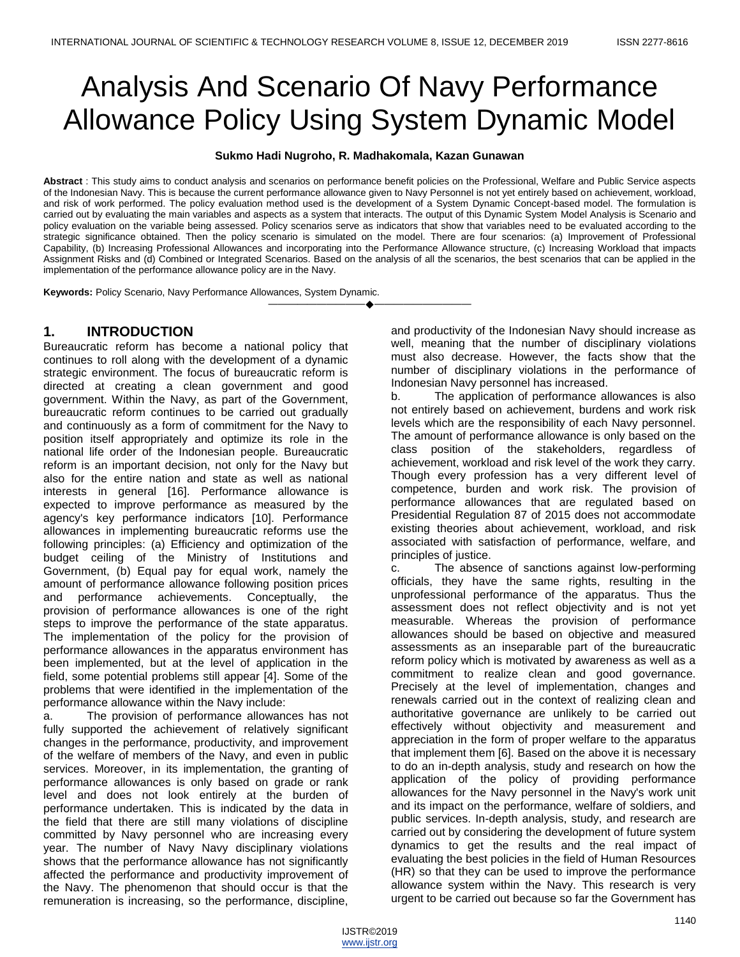# Analysis And Scenario Of Navy Performance Allowance Policy Using System Dynamic Model

#### **Sukmo Hadi Nugroho, R. Madhakomala, Kazan Gunawan**

**Abstract** : This study aims to conduct analysis and scenarios on performance benefit policies on the Professional, Welfare and Public Service aspects of the Indonesian Navy. This is because the current performance allowance given to Navy Personnel is not yet entirely based on achievement, workload, and risk of work performed. The policy evaluation method used is the development of a System Dynamic Concept-based model. The formulation is carried out by evaluating the main variables and aspects as a system that interacts. The output of this Dynamic System Model Analysis is Scenario and policy evaluation on the variable being assessed. Policy scenarios serve as indicators that show that variables need to be evaluated according to the strategic significance obtained. Then the policy scenario is simulated on the model. There are four scenarios: (a) Improvement of Professional Capability, (b) Increasing Professional Allowances and incorporating into the Performance Allowance structure, (c) Increasing Workload that impacts Assignment Risks and (d) Combined or Integrated Scenarios. Based on the analysis of all the scenarios, the best scenarios that can be applied in the implementation of the performance allowance policy are in the Navy.

————————————————————

**Keywords:** Policy Scenario, Navy Performance Allowances, System Dynamic.

## **1. INTRODUCTION**

Bureaucratic reform has become a national policy that continues to roll along with the development of a dynamic strategic environment. The focus of bureaucratic reform is directed at creating a clean government and good government. Within the Navy, as part of the Government, bureaucratic reform continues to be carried out gradually and continuously as a form of commitment for the Navy to position itself appropriately and optimize its role in the national life order of the Indonesian people. Bureaucratic reform is an important decision, not only for the Navy but also for the entire nation and state as well as national interests in general [16]. Performance allowance is expected to improve performance as measured by the agency's key performance indicators [10]. Performance allowances in implementing bureaucratic reforms use the following principles: (a) Efficiency and optimization of the budget ceiling of the Ministry of Institutions and Government, (b) Equal pay for equal work, namely the amount of performance allowance following position prices and performance achievements. Conceptually, the provision of performance allowances is one of the right steps to improve the performance of the state apparatus. The implementation of the policy for the provision of performance allowances in the apparatus environment has been implemented, but at the level of application in the field, some potential problems still appear [4]. Some of the problems that were identified in the implementation of the performance allowance within the Navy include:

a. The provision of performance allowances has not fully supported the achievement of relatively significant changes in the performance, productivity, and improvement of the welfare of members of the Navy, and even in public services. Moreover, in its implementation, the granting of performance allowances is only based on grade or rank level and does not look entirely at the burden of performance undertaken. This is indicated by the data in the field that there are still many violations of discipline committed by Navy personnel who are increasing every year. The number of Navy Navy disciplinary violations shows that the performance allowance has not significantly affected the performance and productivity improvement of the Navy. The phenomenon that should occur is that the remuneration is increasing, so the performance, discipline,

and productivity of the Indonesian Navy should increase as well, meaning that the number of disciplinary violations must also decrease. However, the facts show that the number of disciplinary violations in the performance of Indonesian Navy personnel has increased.

b. The application of performance allowances is also not entirely based on achievement, burdens and work risk levels which are the responsibility of each Navy personnel. The amount of performance allowance is only based on the class position of the stakeholders, regardless of achievement, workload and risk level of the work they carry. Though every profession has a very different level of competence, burden and work risk. The provision of performance allowances that are regulated based on Presidential Regulation 87 of 2015 does not accommodate existing theories about achievement, workload, and risk associated with satisfaction of performance, welfare, and principles of justice.

c. The absence of sanctions against low-performing officials, they have the same rights, resulting in the unprofessional performance of the apparatus. Thus the assessment does not reflect objectivity and is not yet measurable. Whereas the provision of performance allowances should be based on objective and measured assessments as an inseparable part of the bureaucratic reform policy which is motivated by awareness as well as a commitment to realize clean and good governance. Precisely at the level of implementation, changes and renewals carried out in the context of realizing clean and authoritative governance are unlikely to be carried out effectively without objectivity and measurement and appreciation in the form of proper welfare to the apparatus that implement them [6]. Based on the above it is necessary to do an in-depth analysis, study and research on how the application of the policy of providing performance allowances for the Navy personnel in the Navy's work unit and its impact on the performance, welfare of soldiers, and public services. In-depth analysis, study, and research are carried out by considering the development of future system dynamics to get the results and the real impact of evaluating the best policies in the field of Human Resources (HR) so that they can be used to improve the performance allowance system within the Navy. This research is very urgent to be carried out because so far the Government has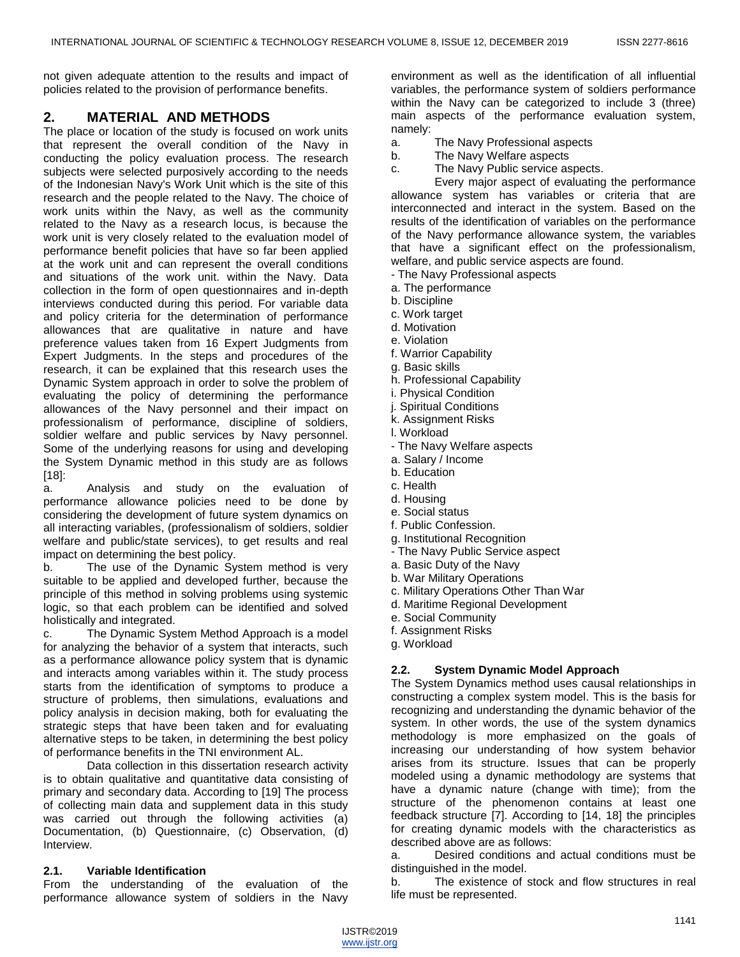not given adequate attention to the results and impact of policies related to the provision of performance benefits.

# **2. MATERIAL AND METHODS**

The place or location of the study is focused on work units that represent the overall condition of the Navy in conducting the policy evaluation process. The research subjects were selected purposively according to the needs of the Indonesian Navy's Work Unit which is the site of this research and the people related to the Navy. The choice of work units within the Navy, as well as the community related to the Navy as a research locus, is because the work unit is very closely related to the evaluation model of performance benefit policies that have so far been applied at the work unit and can represent the overall conditions and situations of the work unit. within the Navy. Data collection in the form of open questionnaires and in-depth interviews conducted during this period. For variable data and policy criteria for the determination of performance allowances that are qualitative in nature and have preference values taken from 16 Expert Judgments from Expert Judgments. In the steps and procedures of the research, it can be explained that this research uses the Dynamic System approach in order to solve the problem of evaluating the policy of determining the performance allowances of the Navy personnel and their impact on professionalism of performance, discipline of soldiers, soldier welfare and public services by Navy personnel. Some of the underlying reasons for using and developing the System Dynamic method in this study are as follows  $[18]$ :

a. Analysis and study on the evaluation of performance allowance policies need to be done by considering the development of future system dynamics on all interacting variables, (professionalism of soldiers, soldier welfare and public/state services), to get results and real impact on determining the best policy.

b. The use of the Dynamic System method is very suitable to be applied and developed further, because the principle of this method in solving problems using systemic logic, so that each problem can be identified and solved holistically and integrated.

c. The Dynamic System Method Approach is a model for analyzing the behavior of a system that interacts, such as a performance allowance policy system that is dynamic and interacts among variables within it. The study process starts from the identification of symptoms to produce a structure of problems, then simulations, evaluations and policy analysis in decision making, both for evaluating the strategic steps that have been taken and for evaluating alternative steps to be taken, in determining the best policy of performance benefits in the TNI environment AL.

Data collection in this dissertation research activity is to obtain qualitative and quantitative data consisting of primary and secondary data. According to [19] The process of collecting main data and supplement data in this study was carried out through the following activities (a) Documentation, (b) Questionnaire, (c) Observation, (d) Interview.

## **2.1. Variable Identification**

From the understanding of the evaluation of the performance allowance system of soldiers in the Navy

environment as well as the identification of all influential variables, the performance system of soldiers performance within the Navy can be categorized to include 3 (three) main aspects of the performance evaluation system, namely:

a. The Navy Professional aspects

- b. The Navy Welfare aspects
- c. The Navy Public service aspects.

Every major aspect of evaluating the performance allowance system has variables or criteria that are interconnected and interact in the system. Based on the results of the identification of variables on the performance of the Navy performance allowance system, the variables that have a significant effect on the professionalism, welfare, and public service aspects are found.

- The Navy Professional aspects
- a. The performance
- b. Discipline
- c. Work target
- d. Motivation
- e. Violation
- f. Warrior Capability
- g. Basic skills
- h. Professional Capability
- i. Physical Condition
- j. Spiritual Conditions
- k. Assignment Risks
- l. Workload
- The Navy Welfare aspects
- a. Salary / Income
- b. Education
- c. Health
- d. Housing
- e. Social status
- f. Public Confession.
- g. Institutional Recognition
- The Navy Public Service aspect
- a. Basic Duty of the Navy
- b. War Military Operations
- c. Military Operations Other Than War
- d. Maritime Regional Development
- e. Social Community
- f. Assignment Risks
- g. Workload

## **2.2. System Dynamic Model Approach**

The System Dynamics method uses causal relationships in constructing a complex system model. This is the basis for recognizing and understanding the dynamic behavior of the system. In other words, the use of the system dynamics methodology is more emphasized on the goals of increasing our understanding of how system behavior arises from its structure. Issues that can be properly modeled using a dynamic methodology are systems that have a dynamic nature (change with time); from the structure of the phenomenon contains at least one feedback structure [7]. According to [14, 18] the principles for creating dynamic models with the characteristics as described above are as follows:

a. Desired conditions and actual conditions must be distinguished in the model.

b. The existence of stock and flow structures in real life must be represented.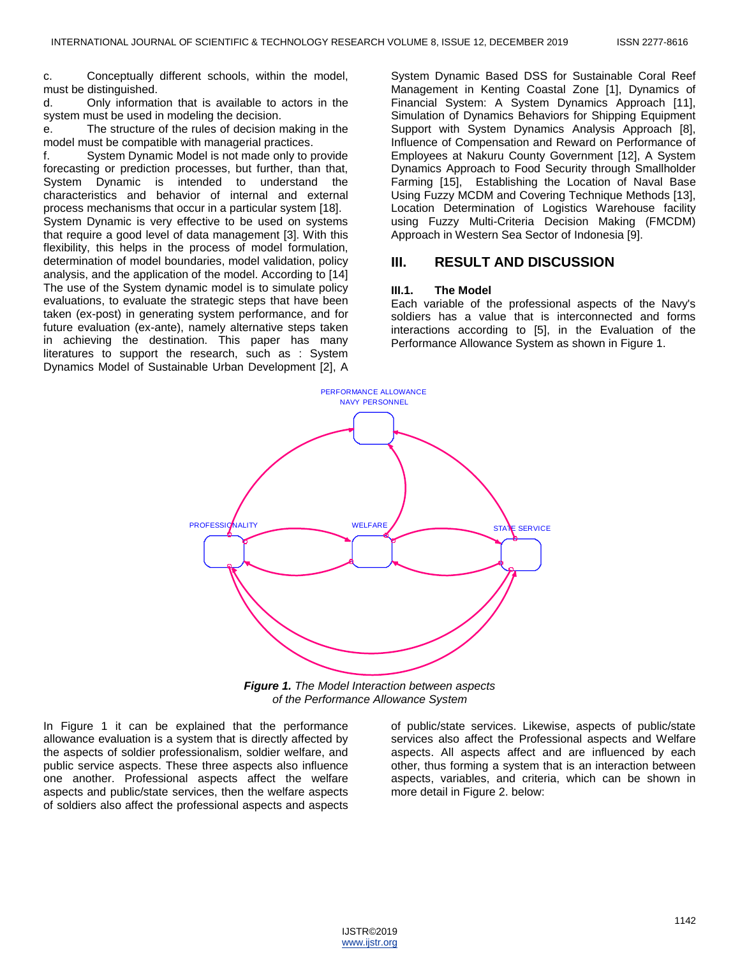c. Conceptually different schools, within the model, must be distinguished.

d. Only information that is available to actors in the system must be used in modeling the decision.

e. The structure of the rules of decision making in the model must be compatible with managerial practices.

f. System Dynamic Model is not made only to provide forecasting or prediction processes, but further, than that, System Dynamic is intended to understand the characteristics and behavior of internal and external process mechanisms that occur in a particular system [18].

System Dynamic is very effective to be used on systems that require a good level of data management [3]. With this flexibility, this helps in the process of model formulation, determination of model boundaries, model validation, policy analysis, and the application of the model. According to [14] The use of the System dynamic model is to simulate policy evaluations, to evaluate the strategic steps that have been taken (ex-post) in generating system performance, and for future evaluation (ex-ante), namely alternative steps taken in achieving the destination. This paper has many literatures to support the research, such as : System Dynamics Model of Sustainable Urban Development [2], A

System Dynamic Based DSS for Sustainable Coral Reef Management in Kenting Coastal Zone [1], Dynamics of Financial System: A System Dynamics Approach [11], Simulation of Dynamics Behaviors for Shipping Equipment Support with System Dynamics Analysis Approach [8], Influence of Compensation and Reward on Performance of Employees at Nakuru County Government [12], A System Dynamics Approach to Food Security through Smallholder Farming [15], Establishing the Location of Naval Base Using Fuzzy MCDM and Covering Technique Methods [13], Location Determination of Logistics Warehouse facility using Fuzzy Multi-Criteria Decision Making (FMCDM) Approach in Western Sea Sector of Indonesia [9].

## **III. RESULT AND DISCUSSION**

#### **III.1. The Model**

Each variable of the professional aspects of the Navy's soldiers has a value that is interconnected and forms interactions according to [5], in the Evaluation of the Performance Allowance System as shown in Figure 1.



*Figure 1. The Model Interaction between aspects of the Performance Allowance System*

In Figure 1 it can be explained that the performance allowance evaluation is a system that is directly affected by the aspects of soldier professionalism, soldier welfare, and public service aspects. These three aspects also influence one another. Professional aspects affect the welfare aspects and public/state services, then the welfare aspects of soldiers also affect the professional aspects and aspects

of public/state services. Likewise, aspects of public/state services also affect the Professional aspects and Welfare aspects. All aspects affect and are influenced by each other, thus forming a system that is an interaction between aspects, variables, and criteria, which can be shown in more detail in Figure 2. below:

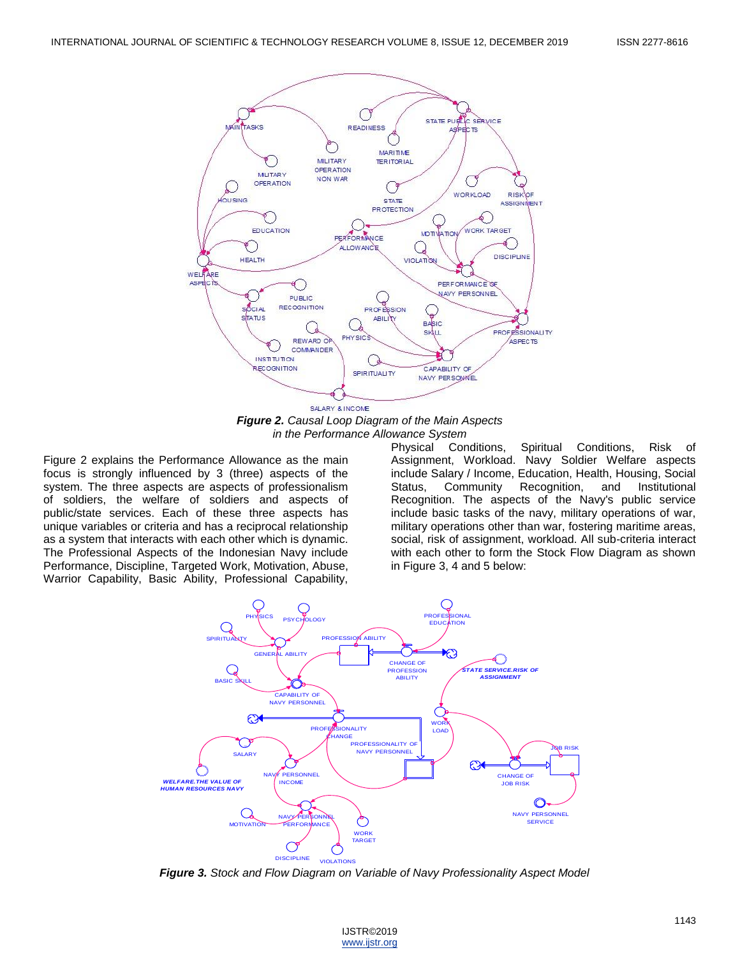

*Figure 2. Causal Loop Diagram of the Main Aspects in the Performance Allowance System*

Figure 2 explains the Performance Allowance as the main focus is strongly influenced by 3 (three) aspects of the system. The three aspects are aspects of professionalism of soldiers, the welfare of soldiers and aspects of public/state services. Each of these three aspects has unique variables or criteria and has a reciprocal relationship as a system that interacts with each other which is dynamic. The Professional Aspects of the Indonesian Navy include Performance, Discipline, Targeted Work, Motivation, Abuse, Warrior Capability, Basic Ability, Professional Capability,

Physical Conditions, Spiritual Conditions, Risk of Assignment, Workload. Navy Soldier Welfare aspects include Salary / Income, Education, Health, Housing, Social Status, Community Recognition, and Institutional Recognition. The aspects of the Navy's public service include basic tasks of the navy, military operations of war, military operations other than war, fostering maritime areas, social, risk of assignment, workload. All sub-criteria interact with each other to form the Stock Flow Diagram as shown in Figure 3, 4 and 5 below:



 *Figure 3. Stock and Flow Diagram on Variable of Navy Professionality Aspect Model*

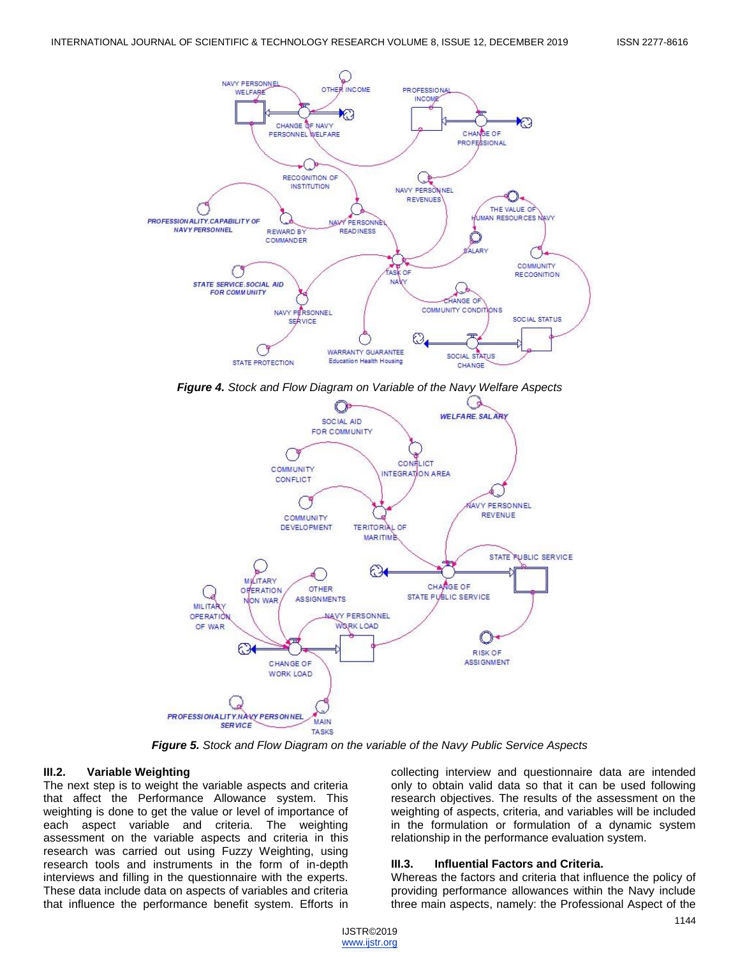

*Figure 4. Stock and Flow Diagram on Variable of the Navy Welfare Aspects*



*Figure 5. Stock and Flow Diagram on the variable of the Navy Public Service Aspects*

#### **III.2. Variable Weighting**

The next step is to weight the variable aspects and criteria that affect the Performance Allowance system. This weighting is done to get the value or level of importance of each aspect variable and criteria. The weighting assessment on the variable aspects and criteria in this research was carried out using Fuzzy Weighting, using research tools and instruments in the form of in-depth interviews and filling in the questionnaire with the experts. These data include data on aspects of variables and criteria that influence the performance benefit system. Efforts in

collecting interview and questionnaire data are intended only to obtain valid data so that it can be used following research objectives. The results of the assessment on the weighting of aspects, criteria, and variables will be included in the formulation or formulation of a dynamic system relationship in the performance evaluation system.

#### **III.3. Influential Factors and Criteria.**

Whereas the factors and criteria that influence the policy of providing performance allowances within the Navy include three main aspects, namely: the Professional Aspect of the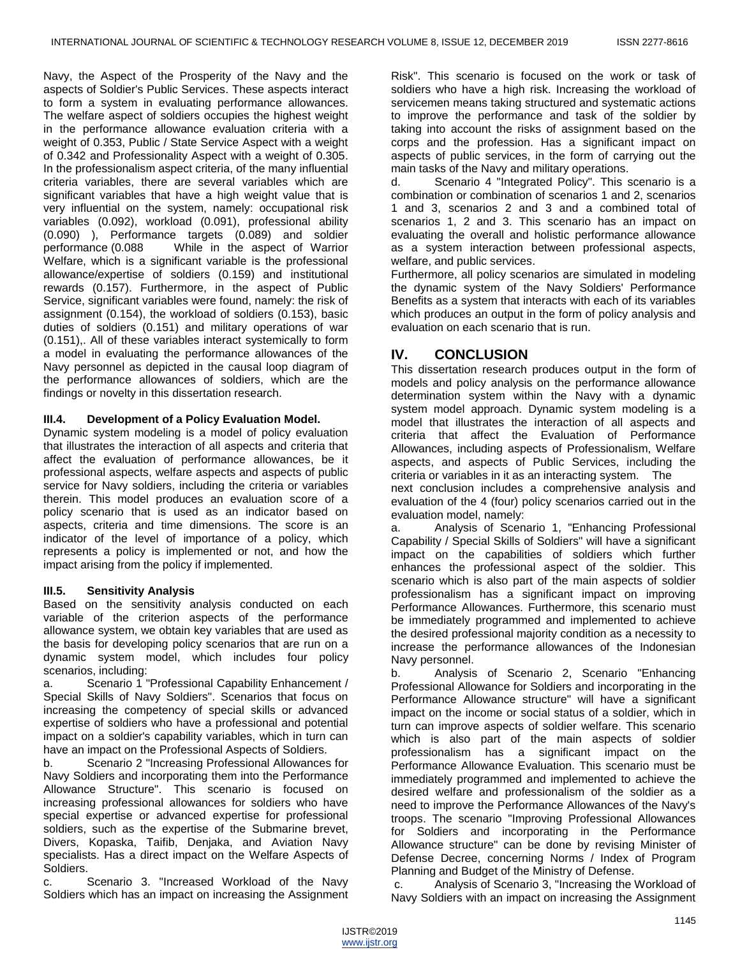Navy, the Aspect of the Prosperity of the Navy and the aspects of Soldier's Public Services. These aspects interact to form a system in evaluating performance allowances. The welfare aspect of soldiers occupies the highest weight in the performance allowance evaluation criteria with a weight of 0.353, Public / State Service Aspect with a weight of 0.342 and Professionality Aspect with a weight of 0.305. In the professionalism aspect criteria, of the many influential criteria variables, there are several variables which are significant variables that have a high weight value that is very influential on the system, namely: occupational risk variables (0.092), workload (0.091), professional ability (0.090) ), Performance targets (0.089) and soldier performance (0.088 While in the aspect of Warrior Welfare, which is a significant variable is the professional allowance/expertise of soldiers (0.159) and institutional rewards (0.157). Furthermore, in the aspect of Public Service, significant variables were found, namely: the risk of assignment (0.154), the workload of soldiers (0.153), basic duties of soldiers (0.151) and military operations of war (0.151),. All of these variables interact systemically to form a model in evaluating the performance allowances of the Navy personnel as depicted in the causal loop diagram of the performance allowances of soldiers, which are the findings or novelty in this dissertation research.

## **III.4. Development of a Policy Evaluation Model.**

Dynamic system modeling is a model of policy evaluation that illustrates the interaction of all aspects and criteria that affect the evaluation of performance allowances, be it professional aspects, welfare aspects and aspects of public service for Navy soldiers, including the criteria or variables therein. This model produces an evaluation score of a policy scenario that is used as an indicator based on aspects, criteria and time dimensions. The score is an indicator of the level of importance of a policy, which represents a policy is implemented or not, and how the impact arising from the policy if implemented.

#### **III.5. Sensitivity Analysis**

Based on the sensitivity analysis conducted on each variable of the criterion aspects of the performance allowance system, we obtain key variables that are used as the basis for developing policy scenarios that are run on a dynamic system model, which includes four policy scenarios, including:

a. Scenario 1 "Professional Capability Enhancement / Special Skills of Navy Soldiers". Scenarios that focus on increasing the competency of special skills or advanced expertise of soldiers who have a professional and potential impact on a soldier's capability variables, which in turn can have an impact on the Professional Aspects of Soldiers.

b. Scenario 2 "Increasing Professional Allowances for Navy Soldiers and incorporating them into the Performance Allowance Structure". This scenario is focused on increasing professional allowances for soldiers who have special expertise or advanced expertise for professional soldiers, such as the expertise of the Submarine brevet, Divers, Kopaska, Taifib, Denjaka, and Aviation Navy specialists. Has a direct impact on the Welfare Aspects of Soldiers.

c. Scenario 3. "Increased Workload of the Navy Soldiers which has an impact on increasing the Assignment

Risk". This scenario is focused on the work or task of soldiers who have a high risk. Increasing the workload of servicemen means taking structured and systematic actions to improve the performance and task of the soldier by taking into account the risks of assignment based on the corps and the profession. Has a significant impact on aspects of public services, in the form of carrying out the main tasks of the Navy and military operations.

d. Scenario 4 "Integrated Policy". This scenario is a combination or combination of scenarios 1 and 2, scenarios 1 and 3, scenarios 2 and 3 and a combined total of scenarios 1, 2 and 3. This scenario has an impact on evaluating the overall and holistic performance allowance as a system interaction between professional aspects, welfare, and public services.

Furthermore, all policy scenarios are simulated in modeling the dynamic system of the Navy Soldiers' Performance Benefits as a system that interacts with each of its variables which produces an output in the form of policy analysis and evaluation on each scenario that is run.

# **IV. CONCLUSION**

This dissertation research produces output in the form of models and policy analysis on the performance allowance determination system within the Navy with a dynamic system model approach. Dynamic system modeling is a model that illustrates the interaction of all aspects and criteria that affect the Evaluation of Performance Allowances, including aspects of Professionalism, Welfare aspects, and aspects of Public Services, including the criteria or variables in it as an interacting system. The

next conclusion includes a comprehensive analysis and evaluation of the 4 (four) policy scenarios carried out in the evaluation model, namely:

a. Analysis of Scenario 1, "Enhancing Professional Capability / Special Skills of Soldiers" will have a significant impact on the capabilities of soldiers which further enhances the professional aspect of the soldier. This scenario which is also part of the main aspects of soldier professionalism has a significant impact on improving Performance Allowances. Furthermore, this scenario must be immediately programmed and implemented to achieve the desired professional majority condition as a necessity to increase the performance allowances of the Indonesian Navy personnel.

b. Analysis of Scenario 2, Scenario "Enhancing Professional Allowance for Soldiers and incorporating in the Performance Allowance structure" will have a significant impact on the income or social status of a soldier, which in turn can improve aspects of soldier welfare. This scenario which is also part of the main aspects of soldier professionalism has a significant impact on the Performance Allowance Evaluation. This scenario must be immediately programmed and implemented to achieve the desired welfare and professionalism of the soldier as a need to improve the Performance Allowances of the Navy's troops. The scenario "Improving Professional Allowances for Soldiers and incorporating in the Performance Allowance structure" can be done by revising Minister of Defense Decree, concerning Norms / Index of Program Planning and Budget of the Ministry of Defense.

c. Analysis of Scenario 3, "Increasing the Workload of Navy Soldiers with an impact on increasing the Assignment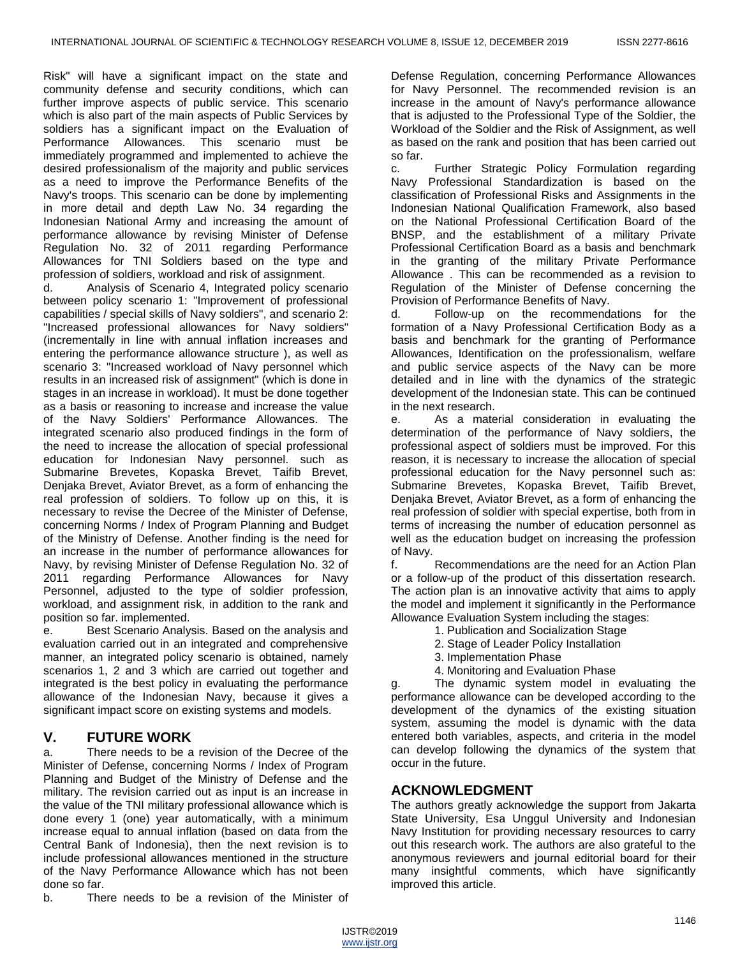Risk" will have a significant impact on the state and community defense and security conditions, which can further improve aspects of public service. This scenario which is also part of the main aspects of Public Services by soldiers has a significant impact on the Evaluation of Performance Allowances. This scenario must be immediately programmed and implemented to achieve the desired professionalism of the majority and public services as a need to improve the Performance Benefits of the Navy's troops. This scenario can be done by implementing in more detail and depth Law No. 34 regarding the Indonesian National Army and increasing the amount of performance allowance by revising Minister of Defense Regulation No. 32 of 2011 regarding Performance Allowances for TNI Soldiers based on the type and profession of soldiers, workload and risk of assignment.

d. Analysis of Scenario 4, Integrated policy scenario between policy scenario 1: "Improvement of professional capabilities / special skills of Navy soldiers", and scenario 2: "Increased professional allowances for Navy soldiers" (incrementally in line with annual inflation increases and entering the performance allowance structure ), as well as scenario 3: "Increased workload of Navy personnel which results in an increased risk of assignment" (which is done in stages in an increase in workload). It must be done together as a basis or reasoning to increase and increase the value of the Navy Soldiers' Performance Allowances. The integrated scenario also produced findings in the form of the need to increase the allocation of special professional education for Indonesian Navy personnel. such as Submarine Brevetes, Kopaska Brevet, Taifib Brevet, Denjaka Brevet, Aviator Brevet, as a form of enhancing the real profession of soldiers. To follow up on this, it is necessary to revise the Decree of the Minister of Defense, concerning Norms / Index of Program Planning and Budget of the Ministry of Defense. Another finding is the need for an increase in the number of performance allowances for Navy, by revising Minister of Defense Regulation No. 32 of 2011 regarding Performance Allowances for Navy Personnel, adjusted to the type of soldier profession, workload, and assignment risk, in addition to the rank and position so far. implemented.

e. Best Scenario Analysis. Based on the analysis and evaluation carried out in an integrated and comprehensive manner, an integrated policy scenario is obtained, namely scenarios 1, 2 and 3 which are carried out together and integrated is the best policy in evaluating the performance allowance of the Indonesian Navy, because it gives a significant impact score on existing systems and models.

# **V. FUTURE WORK**

a. There needs to be a revision of the Decree of the Minister of Defense, concerning Norms / Index of Program Planning and Budget of the Ministry of Defense and the military. The revision carried out as input is an increase in the value of the TNI military professional allowance which is done every 1 (one) year automatically, with a minimum increase equal to annual inflation (based on data from the Central Bank of Indonesia), then the next revision is to include professional allowances mentioned in the structure of the Navy Performance Allowance which has not been done so far.

b. There needs to be a revision of the Minister of

Defense Regulation, concerning Performance Allowances for Navy Personnel. The recommended revision is an increase in the amount of Navy's performance allowance that is adjusted to the Professional Type of the Soldier, the Workload of the Soldier and the Risk of Assignment, as well as based on the rank and position that has been carried out so far.

c. Further Strategic Policy Formulation regarding Navy Professional Standardization is based on the classification of Professional Risks and Assignments in the Indonesian National Qualification Framework, also based on the National Professional Certification Board of the BNSP, and the establishment of a military Private Professional Certification Board as a basis and benchmark in the granting of the military Private Performance Allowance . This can be recommended as a revision to Regulation of the Minister of Defense concerning the Provision of Performance Benefits of Navy.

d. Follow-up on the recommendations for the formation of a Navy Professional Certification Body as a basis and benchmark for the granting of Performance Allowances, Identification on the professionalism, welfare and public service aspects of the Navy can be more detailed and in line with the dynamics of the strategic development of the Indonesian state. This can be continued in the next research.

e. As a material consideration in evaluating the determination of the performance of Navy soldiers, the professional aspect of soldiers must be improved. For this reason, it is necessary to increase the allocation of special professional education for the Navy personnel such as: Submarine Brevetes, Kopaska Brevet, Taifib Brevet, Denjaka Brevet, Aviator Brevet, as a form of enhancing the real profession of soldier with special expertise, both from in terms of increasing the number of education personnel as well as the education budget on increasing the profession of Navy.

f. Recommendations are the need for an Action Plan or a follow-up of the product of this dissertation research. The action plan is an innovative activity that aims to apply the model and implement it significantly in the Performance Allowance Evaluation System including the stages:

- 1. Publication and Socialization Stage
- 2. Stage of Leader Policy Installation
- 3. Implementation Phase
- 4. Monitoring and Evaluation Phase

g. The dynamic system model in evaluating the performance allowance can be developed according to the development of the dynamics of the existing situation system, assuming the model is dynamic with the data entered both variables, aspects, and criteria in the model can develop following the dynamics of the system that occur in the future.

# **ACKNOWLEDGMENT**

The authors greatly acknowledge the support from Jakarta State University, Esa Unggul University and Indonesian Navy Institution for providing necessary resources to carry out this research work. The authors are also grateful to the anonymous reviewers and journal editorial board for their many insightful comments, which have significantly improved this article.